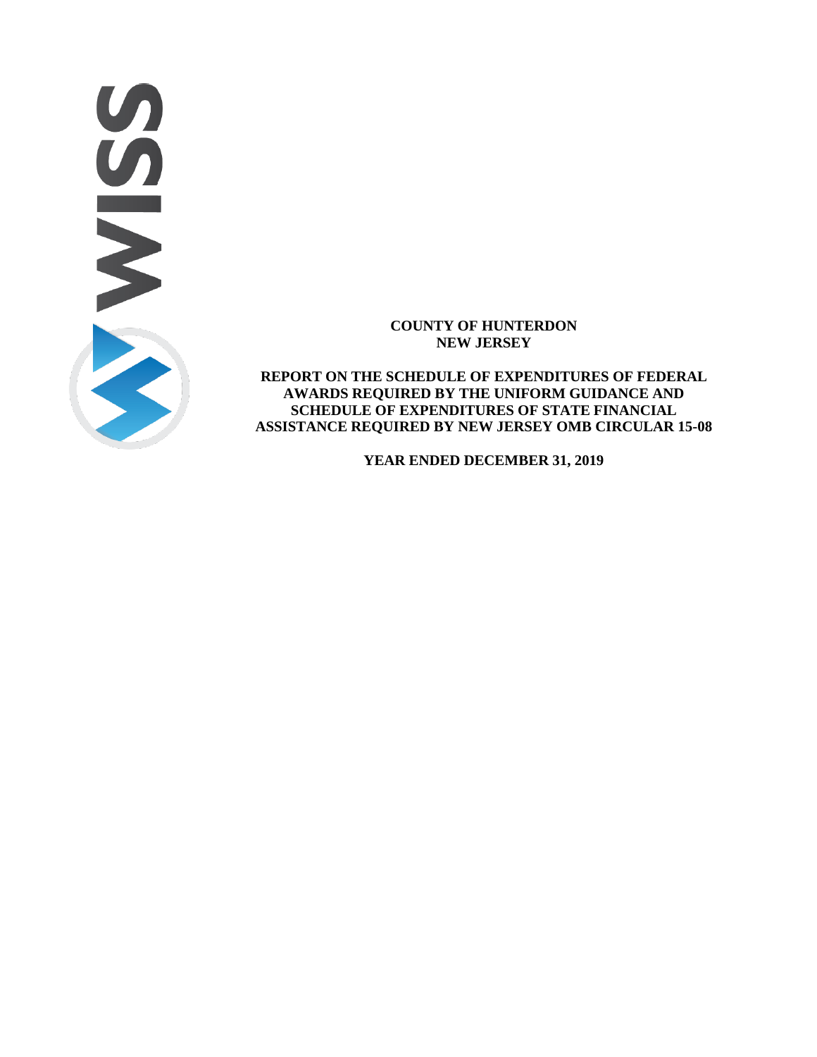

## **COUNTY OF HUNTERDON NEW JERSEY**

**REPORT ON THE SCHEDULE OF EXPENDITURES OF FEDERAL AWARDS REQUIRED BY THE UNIFORM GUIDANCE AND SCHEDULE OF EXPENDITURES OF STATE FINANCIAL ASSISTANCE REQUIRED BY NEW JERSEY OMB CIRCULAR 15-08** 

**YEAR ENDED DECEMBER 31, 2019**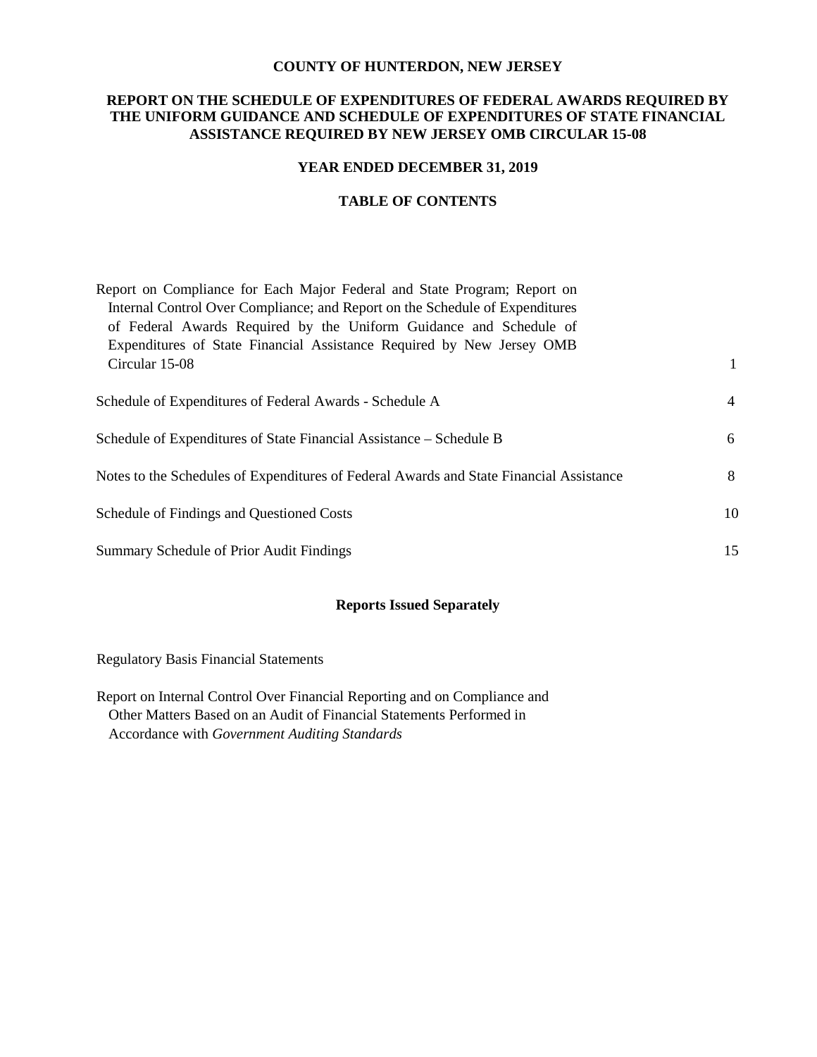### **COUNTY OF HUNTERDON, NEW JERSEY**

## **REPORT ON THE SCHEDULE OF EXPENDITURES OF FEDERAL AWARDS REQUIRED BY THE UNIFORM GUIDANCE AND SCHEDULE OF EXPENDITURES OF STATE FINANCIAL ASSISTANCE REQUIRED BY NEW JERSEY OMB CIRCULAR 15-08**

### **YEAR ENDED DECEMBER 31, 2019**

### **TABLE OF CONTENTS**

| Report on Compliance for Each Major Federal and State Program; Report on                |                |
|-----------------------------------------------------------------------------------------|----------------|
| Internal Control Over Compliance; and Report on the Schedule of Expenditures            |                |
| of Federal Awards Required by the Uniform Guidance and Schedule of                      |                |
| Expenditures of State Financial Assistance Required by New Jersey OMB                   |                |
| Circular 15-08                                                                          | $\mathbf{1}$   |
|                                                                                         |                |
| Schedule of Expenditures of Federal Awards - Schedule A                                 | $\overline{4}$ |
|                                                                                         |                |
| Schedule of Expenditures of State Financial Assistance – Schedule B                     | 6              |
|                                                                                         |                |
| Notes to the Schedules of Expenditures of Federal Awards and State Financial Assistance | 8              |
|                                                                                         |                |
| Schedule of Findings and Questioned Costs                                               | 10             |
|                                                                                         |                |
| Summary Schedule of Prior Audit Findings                                                | 15             |

### **Reports Issued Separately**

Regulatory Basis Financial Statements

Report on Internal Control Over Financial Reporting and on Compliance and Other Matters Based on an Audit of Financial Statements Performed in Accordance with *Government Auditing Standards*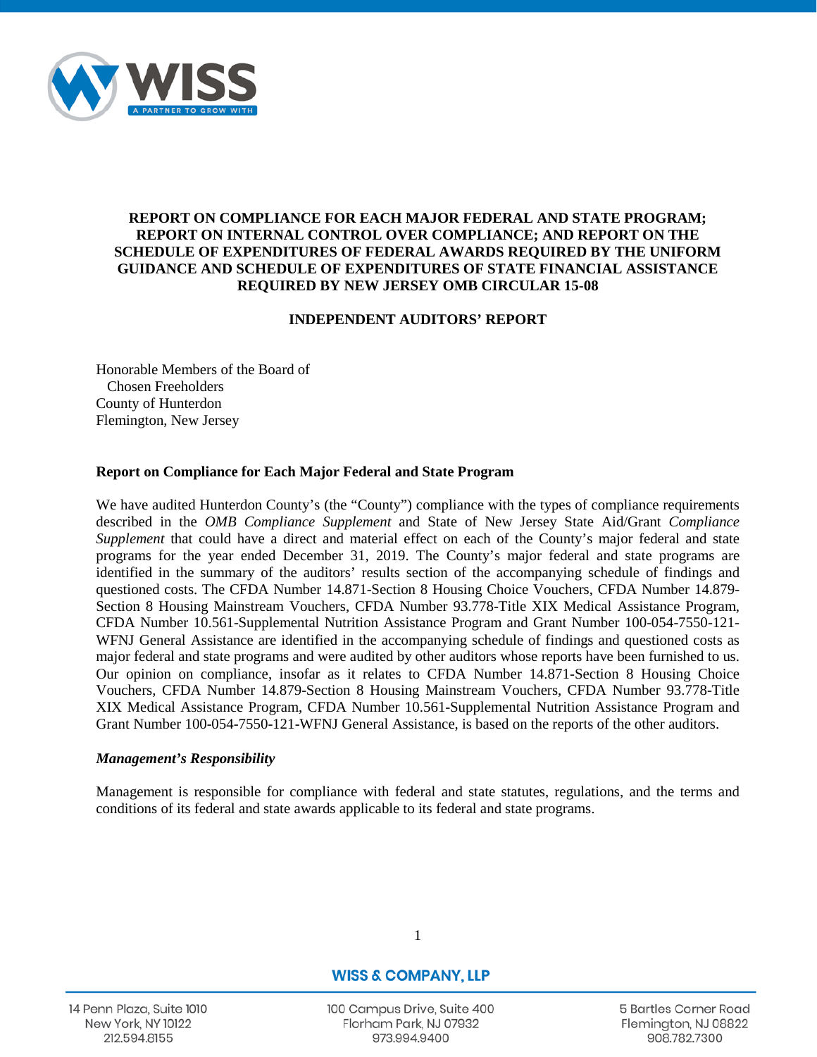

## **REPORT ON COMPLIANCE FOR EACH MAJOR FEDERAL AND STATE PROGRAM; REPORT ON INTERNAL CONTROL OVER COMPLIANCE; AND REPORT ON THE SCHEDULE OF EXPENDITURES OF FEDERAL AWARDS REQUIRED BY THE UNIFORM GUIDANCE AND SCHEDULE OF EXPENDITURES OF STATE FINANCIAL ASSISTANCE REQUIRED BY NEW JERSEY OMB CIRCULAR 15-08**

## **INDEPENDENT AUDITORS' REPORT**

Honorable Members of the Board of Chosen Freeholders County of Hunterdon Flemington, New Jersey

## **Report on Compliance for Each Major Federal and State Program**

We have audited Hunterdon County's (the "County") compliance with the types of compliance requirements described in the *OMB Compliance Supplement* and State of New Jersey State Aid/Grant *Compliance Supplement* that could have a direct and material effect on each of the County's major federal and state programs for the year ended December 31, 2019. The County's major federal and state programs are identified in the summary of the auditors' results section of the accompanying schedule of findings and questioned costs. The CFDA Number 14.871-Section 8 Housing Choice Vouchers, CFDA Number 14.879- Section 8 Housing Mainstream Vouchers, CFDA Number 93.778-Title XIX Medical Assistance Program, CFDA Number 10.561-Supplemental Nutrition Assistance Program and Grant Number 100-054-7550-121- WFNJ General Assistance are identified in the accompanying schedule of findings and questioned costs as major federal and state programs and were audited by other auditors whose reports have been furnished to us. Our opinion on compliance, insofar as it relates to CFDA Number 14.871-Section 8 Housing Choice Vouchers, CFDA Number 14.879-Section 8 Housing Mainstream Vouchers, CFDA Number 93.778-Title XIX Medical Assistance Program, CFDA Number 10.561-Supplemental Nutrition Assistance Program and Grant Number 100-054-7550-121-WFNJ General Assistance, is based on the reports of the other auditors.

### *Management's Responsibility*

Management is responsible for compliance with federal and state statutes, regulations, and the terms and conditions of its federal and state awards applicable to its federal and state programs.

14 Penn Plaza, Suite 1010 **New York, NY 10122** 212.594.8155

**WISS & COMPANY, LLP** 

1

100 Campus Drive, Suite 400 Florham Park, NJ 07932 973.994.9400

5 Bartles Corner Road Flemington, NJ 08822 908.782.7300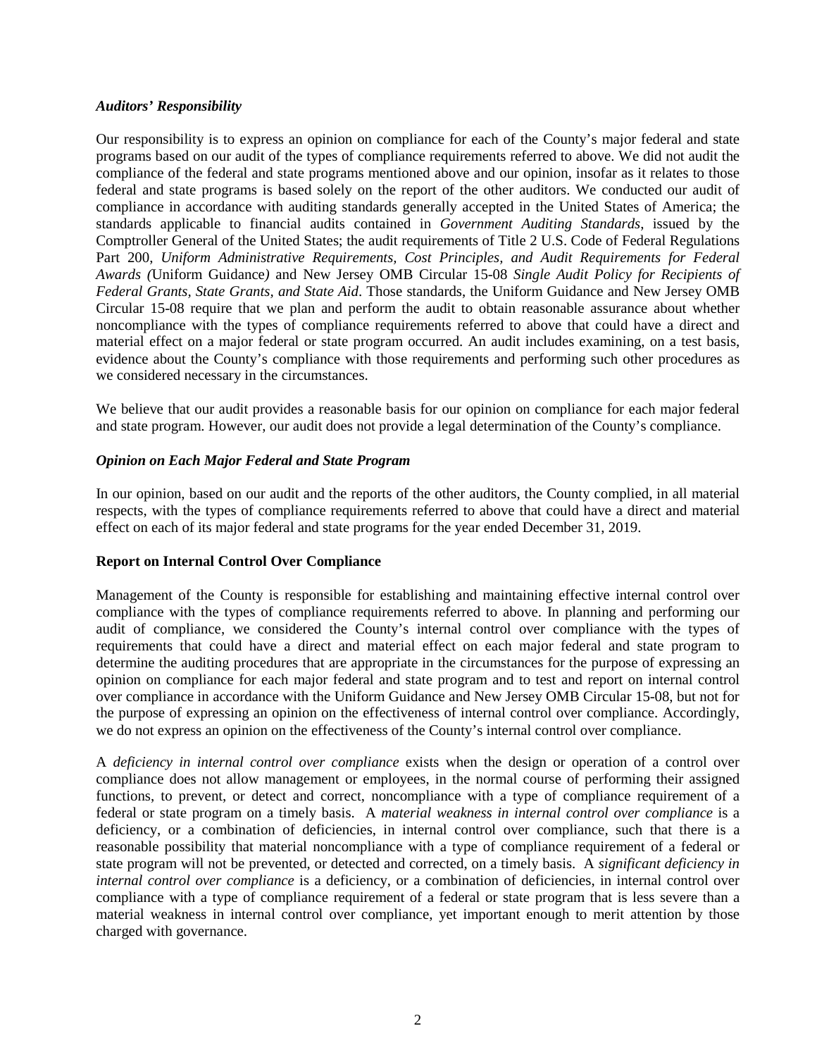## *Auditors' Responsibility*

Our responsibility is to express an opinion on compliance for each of the County's major federal and state programs based on our audit of the types of compliance requirements referred to above. We did not audit the compliance of the federal and state programs mentioned above and our opinion, insofar as it relates to those federal and state programs is based solely on the report of the other auditors. We conducted our audit of compliance in accordance with auditing standards generally accepted in the United States of America; the standards applicable to financial audits contained in *Government Auditing Standards*, issued by the Comptroller General of the United States; the audit requirements of Title 2 U.S. Code of Federal Regulations Part 200, *Uniform Administrative Requirements, Cost Principles, and Audit Requirements for Federal Awards (*Uniform Guidance*)* and New Jersey OMB Circular 15-08 *Single Audit Policy for Recipients of Federal Grants, State Grants, and State Aid*. Those standards, the Uniform Guidance and New Jersey OMB Circular 15-08 require that we plan and perform the audit to obtain reasonable assurance about whether noncompliance with the types of compliance requirements referred to above that could have a direct and material effect on a major federal or state program occurred. An audit includes examining, on a test basis, evidence about the County's compliance with those requirements and performing such other procedures as we considered necessary in the circumstances.

We believe that our audit provides a reasonable basis for our opinion on compliance for each major federal and state program. However, our audit does not provide a legal determination of the County's compliance.

## *Opinion on Each Major Federal and State Program*

In our opinion, based on our audit and the reports of the other auditors, the County complied, in all material respects, with the types of compliance requirements referred to above that could have a direct and material effect on each of its major federal and state programs for the year ended December 31, 2019.

## **Report on Internal Control Over Compliance**

Management of the County is responsible for establishing and maintaining effective internal control over compliance with the types of compliance requirements referred to above. In planning and performing our audit of compliance, we considered the County's internal control over compliance with the types of requirements that could have a direct and material effect on each major federal and state program to determine the auditing procedures that are appropriate in the circumstances for the purpose of expressing an opinion on compliance for each major federal and state program and to test and report on internal control over compliance in accordance with the Uniform Guidance and New Jersey OMB Circular 15-08, but not for the purpose of expressing an opinion on the effectiveness of internal control over compliance. Accordingly, we do not express an opinion on the effectiveness of the County's internal control over compliance.

A *deficiency in internal control over compliance* exists when the design or operation of a control over compliance does not allow management or employees, in the normal course of performing their assigned functions, to prevent, or detect and correct, noncompliance with a type of compliance requirement of a federal or state program on a timely basis. A *material weakness in internal control over compliance* is a deficiency, or a combination of deficiencies, in internal control over compliance, such that there is a reasonable possibility that material noncompliance with a type of compliance requirement of a federal or state program will not be prevented, or detected and corrected, on a timely basis. A *significant deficiency in internal control over compliance* is a deficiency, or a combination of deficiencies, in internal control over compliance with a type of compliance requirement of a federal or state program that is less severe than a material weakness in internal control over compliance, yet important enough to merit attention by those charged with governance.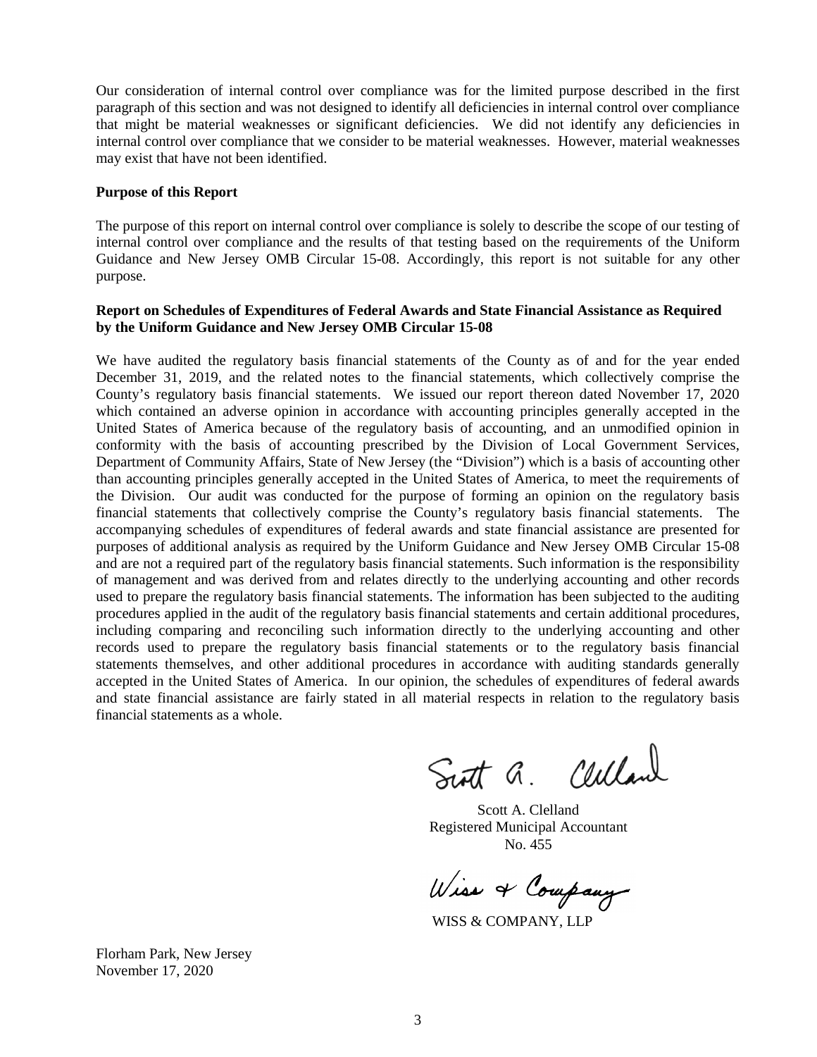Our consideration of internal control over compliance was for the limited purpose described in the first paragraph of this section and was not designed to identify all deficiencies in internal control over compliance that might be material weaknesses or significant deficiencies. We did not identify any deficiencies in internal control over compliance that we consider to be material weaknesses. However, material weaknesses may exist that have not been identified.

### **Purpose of this Report**

The purpose of this report on internal control over compliance is solely to describe the scope of our testing of internal control over compliance and the results of that testing based on the requirements of the Uniform Guidance and New Jersey OMB Circular 15-08. Accordingly, this report is not suitable for any other purpose.

### **Report on Schedules of Expenditures of Federal Awards and State Financial Assistance as Required by the Uniform Guidance and New Jersey OMB Circular 15-08**

We have audited the regulatory basis financial statements of the County as of and for the year ended December 31, 2019, and the related notes to the financial statements, which collectively comprise the County's regulatory basis financial statements. We issued our report thereon dated November 17, 2020 which contained an adverse opinion in accordance with accounting principles generally accepted in the United States of America because of the regulatory basis of accounting, and an unmodified opinion in conformity with the basis of accounting prescribed by the Division of Local Government Services, Department of Community Affairs, State of New Jersey (the "Division") which is a basis of accounting other than accounting principles generally accepted in the United States of America, to meet the requirements of the Division. Our audit was conducted for the purpose of forming an opinion on the regulatory basis financial statements that collectively comprise the County's regulatory basis financial statements. The accompanying schedules of expenditures of federal awards and state financial assistance are presented for purposes of additional analysis as required by the Uniform Guidance and New Jersey OMB Circular 15-08 and are not a required part of the regulatory basis financial statements. Such information is the responsibility of management and was derived from and relates directly to the underlying accounting and other records used to prepare the regulatory basis financial statements. The information has been subjected to the auditing procedures applied in the audit of the regulatory basis financial statements and certain additional procedures, including comparing and reconciling such information directly to the underlying accounting and other records used to prepare the regulatory basis financial statements or to the regulatory basis financial statements themselves, and other additional procedures in accordance with auditing standards generally accepted in the United States of America. In our opinion, the schedules of expenditures of federal awards and state financial assistance are fairly stated in all material respects in relation to the regulatory basis financial statements as a whole.

Scott a. Celland

Scott A. Clelland Registered Municipal Accountant No. 455

Wiss & Company

WISS & COMPANY, LLP

Florham Park, New Jersey November 17, 2020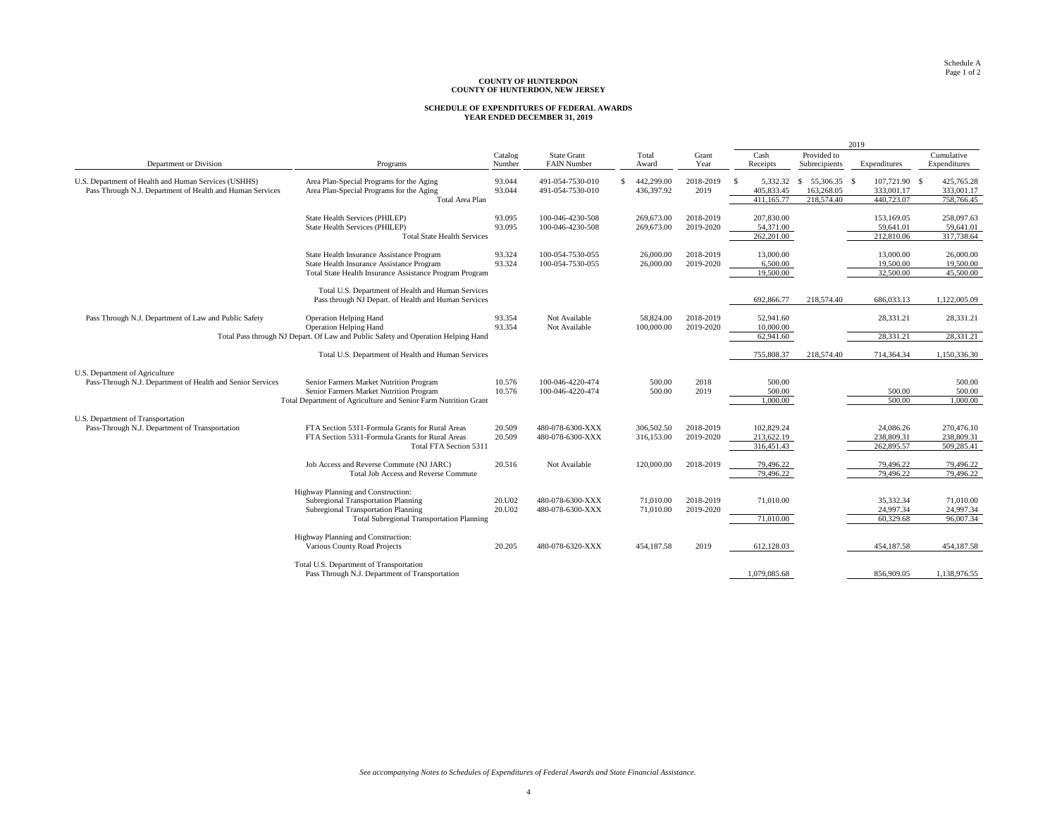# **SCHEDULE OF EXPENDITURES OF FEDERAL AWARDS YEAR ENDED DECEMBER 31, 2019**

|                                                                                                                   |                                                                                                                                                                      |                   |                                          |    |                          |                        |                                        |                                                | 2019                                      |                                        |
|-------------------------------------------------------------------------------------------------------------------|----------------------------------------------------------------------------------------------------------------------------------------------------------------------|-------------------|------------------------------------------|----|--------------------------|------------------------|----------------------------------------|------------------------------------------------|-------------------------------------------|----------------------------------------|
| Department or Division                                                                                            | Programs                                                                                                                                                             | Catalog<br>Number | <b>State Grant</b><br><b>FAIN Number</b> |    | Total<br>Award           | Grant<br>Year          | Cash<br>Receipts                       | Provided to<br>Subrecipients                   | Expenditures                              | Cumulative<br>Expenditures             |
| U.S. Department of Health and Human Services (USHHS)<br>Pass Through N.J. Department of Health and Human Services | Area Plan-Special Programs for the Aging<br>Area Plan-Special Programs for the Aging<br>Total Area Plan                                                              | 93.044<br>93.044  | 491-054-7530-010<br>491-054-7530-010     | S. | 442.299.00<br>436,397.92 | 2018-2019<br>2019      | 5.332.32<br>405,833.45<br>411.165.77   | 55,306,35 \$<br>S.<br>163,268.05<br>218,574.40 | 107,721.90 \$<br>333,001.17<br>440,723.07 | 425,765.28<br>333,001.17<br>758,766.45 |
|                                                                                                                   | State Health Services (PHILEP)<br>State Health Services (PHILEP)<br><b>Total State Health Services</b>                                                               | 93.095<br>93.095  | 100-046-4230-508<br>100-046-4230-508     |    | 269,673.00<br>269,673.00 | 2018-2019<br>2019-2020 | 207,830.00<br>54,371.00<br>262,201.00  |                                                | 153,169.05<br>59,641.01<br>212,810.06     | 258,097.63<br>59,641.01<br>317,738.64  |
|                                                                                                                   | State Health Insurance Assistance Program<br>State Health Insurance Assistance Program<br>Total State Health Insurance Assistance Program Program                    | 93.324<br>93.324  | 100-054-7530-055<br>100-054-7530-055     |    | 26,000,00<br>26,000.00   | 2018-2019<br>2019-2020 | 13,000.00<br>6,500.00<br>19,500.00     |                                                | 13,000.00<br>19,500.00<br>32,500.00       | 26,000.00<br>19,500.00<br>45,500.00    |
|                                                                                                                   | Total U.S. Department of Health and Human Services<br>Pass through NJ Depart. of Health and Human Services                                                           |                   |                                          |    |                          |                        | 692,866.77                             | 218,574.40                                     | 686,033.13                                | 1,122,005.09                           |
| Pass Through N.J. Department of Law and Public Safety                                                             | <b>Operation Helping Hand</b><br>Operation Helping Hand                                                                                                              | 93.354<br>93.354  | Not Available<br>Not Available           |    | 58,824.00<br>100,000.00  | 2018-2019<br>2019-2020 | 52,941.60<br>10,000,00                 |                                                | 28,331.21                                 | 28,331.21                              |
|                                                                                                                   | Total Pass through NJ Depart. Of Law and Public Safety and Operation Helping Hand                                                                                    |                   |                                          |    |                          |                        | 62,941.60                              |                                                | 28,331.21                                 | 28,331.21                              |
|                                                                                                                   | Total U.S. Department of Health and Human Services                                                                                                                   |                   |                                          |    |                          |                        | 755,808.37                             | 218,574.40                                     | 714.364.34                                | 1.150.336.30                           |
| U.S. Department of Agriculture<br>Pass-Through N.J. Department of Health and Senior Services                      | Senior Farmers Market Nutrition Program<br>Senior Farmers Market Nutrition Program<br>Total Department of Agriculture and Senior Farm Nutrition Grant                | 10.576<br>10.576  | 100-046-4220-474<br>100-046-4220-474     |    | 500.00<br>500.00         | 2018<br>2019           | 500.00<br>500.00<br>.000.00            |                                                | 500.00<br>500.00                          | 500.00<br>500.00<br>.000.00            |
| U.S. Department of Transportation<br>Pass-Through N.J. Department of Transportation                               | FTA Section 5311-Formula Grants for Rural Areas<br>FTA Section 5311-Formula Grants for Rural Areas<br>Total FTA Section 5311                                         | 20.509<br>20.509  | 480-078-6300-XXX<br>480-078-6300-XXX     |    | 306,502.50<br>316,153.00 | 2018-2019<br>2019-2020 | 102,829.24<br>213,622.19<br>316,451.43 |                                                | 24,086.26<br>238,809.31<br>262,895.57     | 270,476.10<br>238,809.31<br>509,285.41 |
|                                                                                                                   | Job Access and Reverse Commute (NJ JARC)<br><b>Total Job Access and Reverse Commute</b>                                                                              | 20.516            | Not Available                            |    | 120,000,00               | 2018-2019              | 79,496.22<br>79.496.22                 |                                                | 79.496.22<br>79,496.22                    | 79,496.22<br>79,496.22                 |
|                                                                                                                   | Highway Planning and Construction:<br>Subregional Transportation Planning<br>Subregional Transportation Planning<br><b>Total Subregional Transportation Planning</b> | 20.U02<br>20.U02  | 480-078-6300-XXX<br>480-078-6300-XXX     |    | 71,010.00<br>71,010.00   | 2018-2019<br>2019-2020 | 71,010,00<br>71,010,00                 |                                                | 35.332.34<br>24,997.34<br>60.329.68       | 71,010.00<br>24,997.34<br>96,007.34    |
|                                                                                                                   | Highway Planning and Construction:<br>Various County Road Projects                                                                                                   | 20.205            | 480-078-6320-XXX                         |    | 454,187.58               | 2019                   | 612,128.03                             |                                                | 454,187.58                                | 454,187.58                             |
|                                                                                                                   | Total U.S. Department of Transportation<br>Pass Through N.J. Department of Transportation                                                                            |                   |                                          |    |                          |                        | 1.079.085.68                           |                                                | 856,909.05                                | 1.138.976.55                           |

*See accompanying Notes to Schedules of Expenditures of Federal Awards and State Financial Assistance.*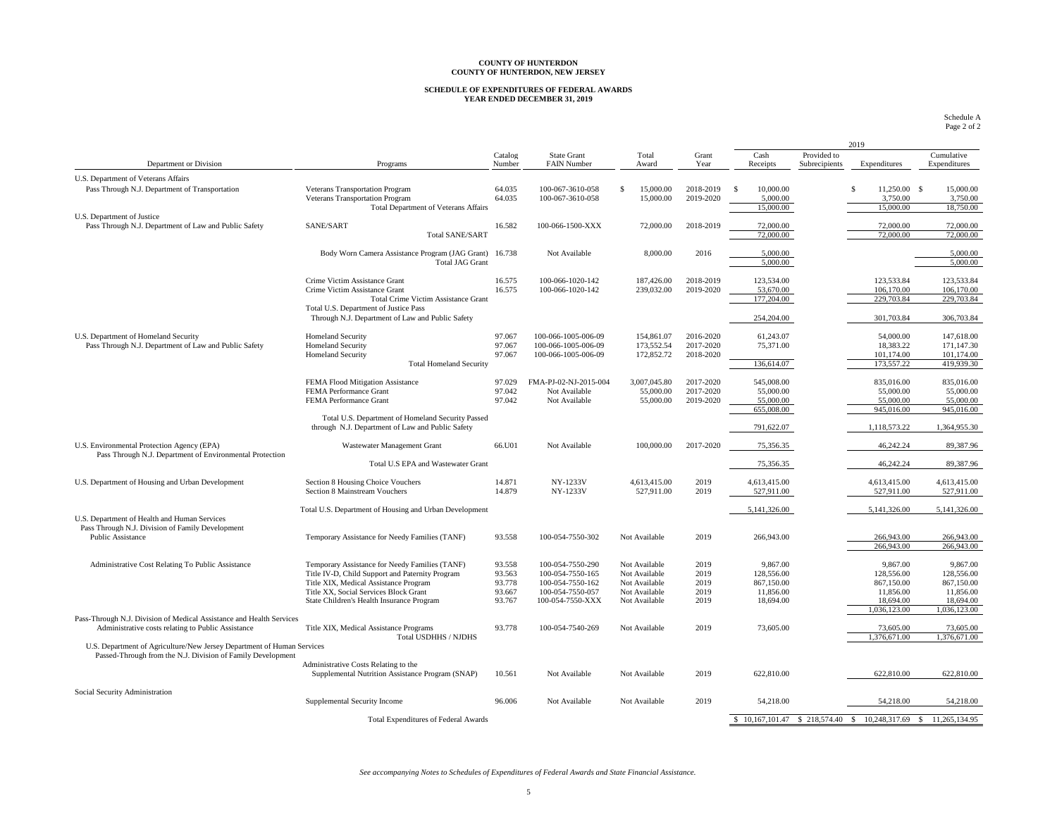## **SCHEDULE OF EXPENDITURES OF FEDERAL AWARDS YEAR ENDED DECEMBER 31, 2019**

Schedule A Page 2 of 2

|                                                                                                                                       |                                                        |                   |                                   |                            |               |                              |                              | 2019                            |                            |
|---------------------------------------------------------------------------------------------------------------------------------------|--------------------------------------------------------|-------------------|-----------------------------------|----------------------------|---------------|------------------------------|------------------------------|---------------------------------|----------------------------|
| Department or Division                                                                                                                | Programs                                               | Catalog<br>Number | State Grant<br><b>FAIN Number</b> | Total<br>Award             | Grant<br>Year | Cash<br>Receipts             | Provided to<br>Subrecipients | Expenditures                    | Cumulative<br>Expenditures |
| U.S. Department of Veterans Affairs                                                                                                   |                                                        |                   |                                   |                            |               |                              |                              |                                 |                            |
| Pass Through N.J. Department of Transportation                                                                                        | Veterans Transportation Program                        | 64.035            | 100-067-3610-058                  | $\mathcal{S}$<br>15,000.00 | 2018-2019     | $\mathcal{S}$<br>10,000,00   |                              | $\mathcal{S}$<br>$11.250.00$ \$ | 15,000.00                  |
|                                                                                                                                       | Veterans Transportation Program                        | 64.035            | 100-067-3610-058                  | 15,000.00                  | 2019-2020     | 5,000.00                     |                              | 3,750.00                        | 3,750.00                   |
|                                                                                                                                       | <b>Total Department of Veterans Affairs</b>            |                   |                                   |                            |               | 15,000.00                    |                              | 15,000.00                       | 18,750.00                  |
| U.S. Department of Justice<br>Pass Through N.J. Department of Law and Public Safety                                                   | SANE/SART                                              | 16.582            |                                   | 72,000.00                  | 2018-2019     | 72,000.00                    |                              | 72,000.00                       | 72,000.00                  |
|                                                                                                                                       | <b>Total SANE/SART</b>                                 |                   | 100-066-1500-XXX                  |                            |               | 72,000.00                    |                              | 72,000.00                       | 72,000.00                  |
|                                                                                                                                       |                                                        |                   |                                   |                            |               |                              |                              |                                 |                            |
|                                                                                                                                       | Body Worn Camera Assistance Program (JAG Grant)        | 16.738            | Not Available                     | 8,000.00                   | 2016          | 5,000,00                     |                              |                                 | 5,000.00                   |
|                                                                                                                                       | <b>Total JAG Grant</b>                                 |                   |                                   |                            |               | 5,000.00                     |                              |                                 | 5,000.00                   |
|                                                                                                                                       | Crime Victim Assistance Grant                          | 16.575            | 100-066-1020-142                  | 187,426.00                 | 2018-2019     | 123,534.00                   |                              | 123,533.84                      | 123,533.84                 |
|                                                                                                                                       | Crime Victim Assistance Grant                          | 16.575            | 100-066-1020-142                  | 239,032.00                 | 2019-2020     | 53,670.00                    |                              | 106,170.00                      | 106,170.00                 |
|                                                                                                                                       | <b>Total Crime Victim Assistance Grant</b>             |                   |                                   |                            |               | 177,204.00                   |                              | 229,703.84                      | 229,703.84                 |
|                                                                                                                                       | Total U.S. Department of Justice Pass                  |                   |                                   |                            |               |                              |                              |                                 |                            |
|                                                                                                                                       | Through N.J. Department of Law and Public Safety       |                   |                                   |                            |               | 254,204.00                   |                              | 301,703.84                      | 306,703.84                 |
| U.S. Department of Homeland Security                                                                                                  | <b>Homeland Security</b>                               | 97.067            | 100-066-1005-006-09               | 154,861.07                 | 2016-2020     | 61,243.07                    |                              | 54,000.00                       | 147,618.00                 |
| Pass Through N.J. Department of Law and Public Safety                                                                                 | <b>Homeland Security</b>                               | 97.067            | 100-066-1005-006-09               | 173,552.54                 | 2017-2020     | 75,371.00                    |                              | 18.383.22                       | 171,147.30                 |
|                                                                                                                                       | <b>Homeland Security</b>                               | 97.067            | 100-066-1005-006-09               | 172,852.72                 | 2018-2020     |                              |                              | 101,174.00                      | 101,174.00                 |
|                                                                                                                                       | <b>Total Homeland Security</b>                         |                   |                                   |                            |               | 136,614.07                   |                              | 173,557.22                      | 419,939.30                 |
|                                                                                                                                       | FEMA Flood Mitigation Assistance                       | 97.029            | FMA-PJ-02-NJ-2015-004             | 3,007,045.80               | 2017-2020     |                              |                              | 835,016.00                      | 835,016.00                 |
|                                                                                                                                       | FEMA Performance Grant                                 | 97.042            | Not Available                     | 55,000.00                  | 2017-2020     | 545,008.00<br>55,000.00      |                              | 55,000.00                       | 55,000.00                  |
|                                                                                                                                       | FEMA Performance Grant                                 | 97.042            | Not Available                     | 55,000.00                  | 2019-2020     | 55,000.00                    |                              | 55,000.00                       | 55,000.00                  |
|                                                                                                                                       |                                                        |                   |                                   |                            |               | 655,008.00                   |                              | 945,016.00                      | 945,016.00                 |
|                                                                                                                                       | Total U.S. Department of Homeland Security Passed      |                   |                                   |                            |               |                              |                              |                                 |                            |
|                                                                                                                                       | through N.J. Department of Law and Public Safety       |                   |                                   |                            |               | 791,622.07                   |                              | 1,118,573.22                    | 1.364,955.30               |
| U.S. Environmental Protection Agency (EPA)                                                                                            | Wastewater Management Grant                            | 66.U01            | Not Available                     | 100,000.00                 | 2017-2020     | 75,356.35                    |                              | 46,242.24                       | 89,387.96                  |
| Pass Through N.J. Department of Environmental Protection                                                                              | Total U.S EPA and Wastewater Grant                     |                   |                                   |                            |               | 75,356.35                    |                              | 46,242.24                       | 89,387.96                  |
|                                                                                                                                       |                                                        |                   |                                   |                            |               |                              |                              |                                 |                            |
| U.S. Department of Housing and Urban Development                                                                                      | Section 8 Housing Choice Vouchers                      | 14.871            | <b>NY-1233V</b>                   | 4,613,415.00               | 2019          | 4,613,415.00                 |                              | 4,613,415.00                    | 4,613,415.00               |
|                                                                                                                                       | Section 8 Mainstream Vouchers                          | 14.879            | NY-1233V                          | 527,911.00                 | 2019          | 527,911.00                   |                              | 527,911.00                      | 527,911.00                 |
|                                                                                                                                       | Total U.S. Department of Housing and Urban Development |                   |                                   |                            |               | 5,141,326.00                 |                              | 5,141,326.00                    | 5,141,326.00               |
| U.S. Department of Health and Human Services                                                                                          |                                                        |                   |                                   |                            |               |                              |                              |                                 |                            |
| Pass Through N.J. Division of Family Development                                                                                      |                                                        |                   |                                   |                            |               |                              |                              |                                 |                            |
| Public Assistance                                                                                                                     | Temporary Assistance for Needy Families (TANF)         | 93.558            | 100-054-7550-302                  | Not Available              | 2019          | 266,943.00                   |                              | 266,943.00<br>266,943.00        | 266,943.00<br>266,943.00   |
|                                                                                                                                       |                                                        |                   |                                   |                            |               |                              |                              |                                 |                            |
| Administrative Cost Relating To Public Assistance                                                                                     | Temporary Assistance for Needy Families (TANF)         | 93.558            | 100-054-7550-290                  | Not Available              | 2019          | 9,867.00                     |                              | 9,867.00                        | 9,867.00                   |
|                                                                                                                                       | Title IV-D, Child Support and Paternity Program        | 93.563            | 100-054-7550-165                  | Not Available              | 2019          | 128,556.00                   |                              | 128,556.00                      | 128,556.00                 |
|                                                                                                                                       | Title XIX, Medical Assistance Program                  | 93.778            | 100-054-7550-162                  | Not Available              | 2019          | 867,150.00                   |                              | 867,150.00                      | 867,150.00                 |
|                                                                                                                                       | Title XX, Social Services Block Grant                  | 93.667            | 100-054-7550-057                  | Not Available              | 2019          | 11,856.00                    |                              | 11,856.00                       | 11,856.00                  |
|                                                                                                                                       | State Children's Health Insurance Program              | 93.767            | 100-054-7550-XXX                  | Not Available              | 2019          | 18,694.00                    |                              | 18,694.00<br>1.036.123.00       | 18,694.00<br>1.036.123.00  |
| Pass-Through N.J. Division of Medical Assistance and Health Services                                                                  |                                                        |                   |                                   |                            |               |                              |                              |                                 |                            |
| Administrative costs relating to Public Assistance                                                                                    | Title XIX, Medical Assistance Programs                 | 93.778            | 100-054-7540-269                  | Not Available              | 2019          | 73,605.00                    |                              | 73,605.00                       | 73,605.00                  |
|                                                                                                                                       | Total USDHHS / NJDHS                                   |                   |                                   |                            |               |                              |                              | 1.376,671.00                    | 1.376,671.00               |
| U.S. Department of Agriculture/New Jersey Department of Human Services<br>Passed-Through from the N.J. Division of Family Development |                                                        |                   |                                   |                            |               |                              |                              |                                 |                            |
|                                                                                                                                       | Administrative Costs Relating to the                   |                   |                                   |                            |               |                              |                              |                                 |                            |
|                                                                                                                                       | Supplemental Nutrition Assistance Program (SNAP)       | 10.561            | Not Available                     | Not Available              | 2019          | 622,810.00                   |                              | 622,810.00                      | 622,810.00                 |
|                                                                                                                                       |                                                        |                   |                                   |                            |               |                              |                              |                                 |                            |
| Social Security Administration                                                                                                        | Supplemental Security Income                           | 96.006            | Not Available                     | Not Available              | 2019          | 54,218.00                    |                              | 54,218.00                       | 54,218.00                  |
|                                                                                                                                       |                                                        |                   |                                   |                            |               |                              |                              |                                 |                            |
|                                                                                                                                       | <b>Total Expenditures of Federal Awards</b>            |                   |                                   |                            |               | \$10,167,101.47 \$218,574.40 |                              | 10,248,317.69 \$<br>S.          | 11,265,134.95              |

*See accompanying Notes to Schedules of Expenditures of Federal Awards and State Financial Assistance.*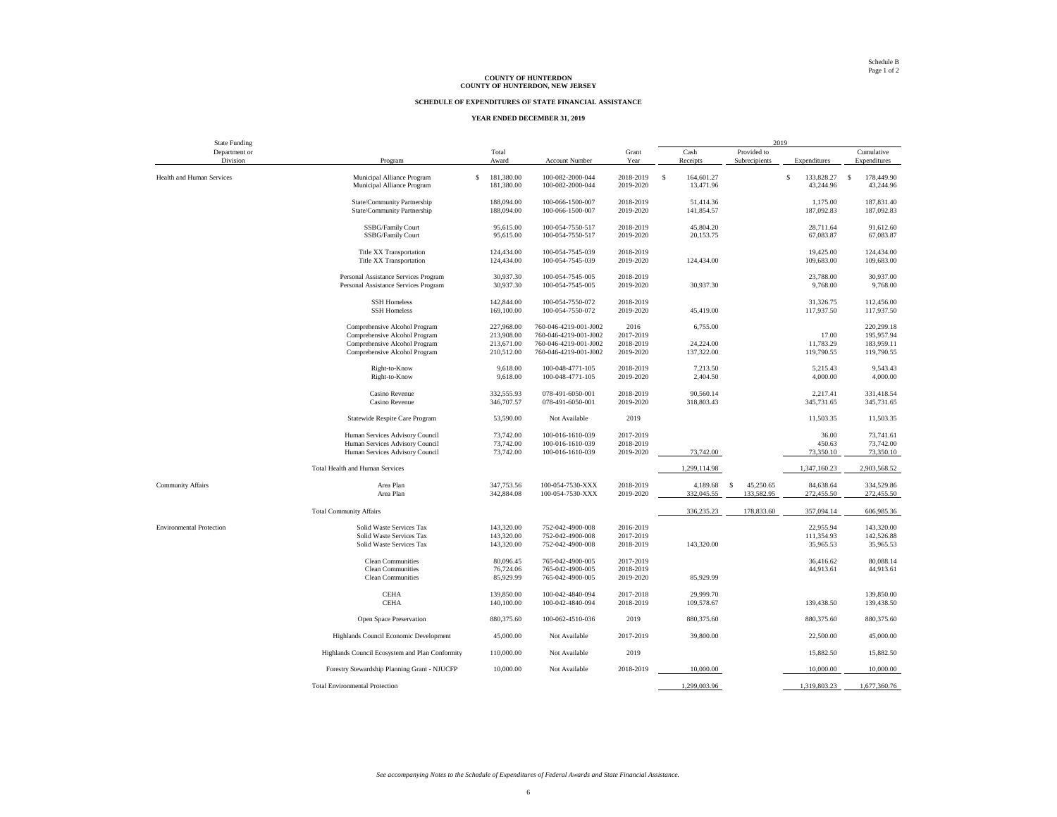#### **SCHEDULE OF EXPENDITURES OF STATE FINANCIAL ASSISTANCE**

#### **YEAR ENDED DECEMBER 31, 2019**

| <b>State Funding</b>            |                                                                              |                                          |                                      |                        |                                         | 2019           |                              |                                         |
|---------------------------------|------------------------------------------------------------------------------|------------------------------------------|--------------------------------------|------------------------|-----------------------------------------|----------------|------------------------------|-----------------------------------------|
| Department or                   |                                                                              | Total                                    |                                      | Grant                  | Cash                                    | Provided to    |                              | Cumulative                              |
| Division                        | Program                                                                      | Award                                    | Account Number                       | Year                   | Receipts                                | Subrecipients  | Expenditures                 | Expenditures                            |
| Health and Human Services       | Municipal Alliance Program<br>Municipal Alliance Program                     | $\mathsf{s}$<br>181,380.00<br>181,380.00 | 100-082-2000-044<br>100-082-2000-044 | 2018-2019<br>2019-2020 | $\mathbf{s}$<br>164,601.27<br>13,471.96 |                | s<br>133,828.27<br>43,244.96 | $\mathbb{S}$<br>178,449.90<br>43,244.96 |
|                                 | State/Community Partnership                                                  | 188,094.00                               | 100-066-1500-007                     | 2018-2019              | 51,414.36                               |                | 1,175.00                     | 187,831.40                              |
|                                 | State/Community Partnership                                                  | 188,094.00                               | 100-066-1500-007                     | 2019-2020              | 141,854.57                              |                | 187,092.83                   | 187,092.83                              |
|                                 | SSBG/Family Court<br><b>SSBG/Family Court</b>                                | 95,615.00<br>95,615.00                   | 100-054-7550-517<br>100-054-7550-517 | 2018-2019<br>2019-2020 | 45,804.20<br>20,153.75                  |                | 28,711.64<br>67,083.87       | 91,612.60<br>67,083.87                  |
|                                 | <b>Title XX Transportation</b>                                               | 124,434.00                               | 100-054-7545-039                     | 2018-2019              |                                         |                | 19,425.00                    | 124,434.00                              |
|                                 | <b>Title XX Transportation</b>                                               | 124,434.00                               | 100-054-7545-039                     | 2019-2020              | 124,434.00                              |                | 109,683.00                   | 109,683.00                              |
|                                 | Personal Assistance Services Program<br>Personal Assistance Services Program | 30,937.30<br>30,937.30                   | 100-054-7545-005<br>100-054-7545-005 | 2018-2019<br>2019-2020 | 30,937.30                               |                | 23,788.00<br>9,768.00        | 30,937.00<br>9,768.00                   |
|                                 | <b>SSH Homeless</b><br><b>SSH Homeless</b>                                   | 142,844.00<br>169,100.00                 | 100-054-7550-072<br>100-054-7550-072 | 2018-2019<br>2019-2020 | 45,419.00                               |                | 31,326.75<br>117,937.50      | 112,456.00<br>117,937.50                |
|                                 | Comprehensive Alcohol Program                                                | 227,968.00                               | 760-046-4219-001-J002                | 2016                   | 6,755.00                                |                |                              | 220,299.18                              |
|                                 | Comprehensive Alcohol Program                                                | 213,908.00                               | 760-046-4219-001-J002                | 2017-2019              |                                         |                | 17.00                        | 195,957.94                              |
|                                 | Comprehensive Alcohol Program                                                | 213,671.00                               | 760-046-4219-001-J002                | 2018-2019              | 24,224.00                               |                | 11,783.29                    | 183,959.11                              |
|                                 | Comprehensive Alcohol Program                                                | 210,512.00                               | 760-046-4219-001-J002                | 2019-2020              | 137,322.00                              |                | 119,790.55                   | 119,790.55                              |
|                                 | Right-to-Know                                                                | 9,618.00                                 | 100-048-4771-105                     | 2018-2019              | 7,213.50                                |                | 5,215.43                     | 9,543.43                                |
|                                 | Right-to-Know                                                                | 9,618.00                                 | 100-048-4771-105                     | 2019-2020              | 2,404.50                                |                | 4,000.00                     | 4,000.00                                |
|                                 | Casino Revenue                                                               | 332,555.93                               | 078-491-6050-001                     | 2018-2019              | 90,560.14                               |                | 2,217.41                     | 331,418.54                              |
|                                 | Casino Revenue                                                               | 346,707.57                               | 078-491-6050-001                     | 2019-2020              | 318,803.43                              |                | 345,731.65                   | 345,731.65                              |
|                                 | Statewide Respite Care Program                                               | 53,590.00                                | Not Available                        | 2019                   |                                         |                | 11,503.35                    | 11,503.35                               |
|                                 | Human Services Advisory Council                                              | 73,742.00                                | 100-016-1610-039                     | 2017-2019              |                                         |                | 36.00                        | 73,741.61                               |
|                                 | Human Services Advisory Council                                              | 73,742.00                                | 100-016-1610-039                     | 2018-2019              |                                         |                | 450.63                       | 73,742.00                               |
|                                 | Human Services Advisory Council                                              | 73,742.00                                | 100-016-1610-039                     | 2019-2020              | 73,742.00                               |                | 73,350.10                    | 73,350.10                               |
|                                 | Total Health and Human Services                                              |                                          |                                      |                        | 1,299,114.98                            |                | 1,347,160.23                 | 2,903,568.52                            |
| <b>Community Affairs</b>        | Area Plan                                                                    | 347,753.56                               | 100-054-7530-XXX                     | 2018-2019              | 4,189.68                                | s<br>45,250.65 | 84,638.64                    | 334,529.86                              |
|                                 | Area Plan                                                                    | 342,884.08                               | 100-054-7530-XXX                     | 2019-2020              | 332,045.55                              | 133,582.95     | 272,455.50                   | 272,455.50                              |
|                                 | <b>Total Community Affairs</b>                                               |                                          |                                      |                        | 336,235.23                              | 178,833.60     | 357,094.14                   | 606,985.36                              |
| <b>Environmental Protection</b> | Solid Waste Services Tax                                                     | 143,320.00                               | 752-042-4900-008                     | 2016-2019              |                                         |                | 22,955.94                    | 143,320.00                              |
|                                 | Solid Waste Services Tax                                                     | 143,320.00                               | 752-042-4900-008                     | 2017-2019              |                                         |                | 111,354.93                   | 142,526.88                              |
|                                 | Solid Waste Services Tax                                                     | 143,320.00                               | 752-042-4900-008                     | 2018-2019              | 143,320.00                              |                | 35,965.53                    | 35,965.53                               |
|                                 | <b>Clean Communities</b>                                                     | 80,096.45                                | 765-042-4900-005                     | 2017-2019              |                                         |                | 36,416.62                    | 80,088.14                               |
|                                 | <b>Clean Communities</b>                                                     | 76,724.06                                | 765-042-4900-005                     | 2018-2019              |                                         |                | 44,913.61                    | 44,913.61                               |
|                                 | <b>Clean Communities</b>                                                     | 85,929.99                                | 765-042-4900-005                     | 2019-2020              | 85,929.99                               |                |                              |                                         |
|                                 | <b>CEHA</b>                                                                  | 139,850.00                               | 100-042-4840-094                     | 2017-2018              | 29,999.70                               |                |                              | 139,850.00                              |
|                                 | <b>CEHA</b>                                                                  | 140,100.00                               | 100-042-4840-094                     | 2018-2019              | 109,578.67                              |                | 139,438.50                   | 139,438.50                              |
|                                 | Open Space Preservation                                                      | 880,375.60                               | 100-062-4510-036                     | 2019                   | 880,375.60                              |                | 880,375.60                   | 880,375.60                              |
|                                 | Highlands Council Economic Development                                       | 45,000.00                                | Not Available                        | 2017-2019              | 39,800.00                               |                | 22,500.00                    | 45,000.00                               |
|                                 | Highlands Council Ecosystem and Plan Conformity                              | 110,000.00                               | Not Available                        | 2019                   |                                         |                | 15,882.50                    | 15,882.50                               |
|                                 | Forestry Stewardship Planning Grant - NJUCFP                                 | 10,000.00                                | Not Available                        | 2018-2019              | 10,000.00                               |                | 10,000.00                    | 10,000.00                               |
|                                 | <b>Total Environmental Protection</b>                                        |                                          |                                      |                        | 1.299.003.96                            |                | 1.319.803.23                 | 1,677,360.76                            |

*See accompanying Notes to the Schedule of Expenditures of Federal Awards and State Financial Assistance.*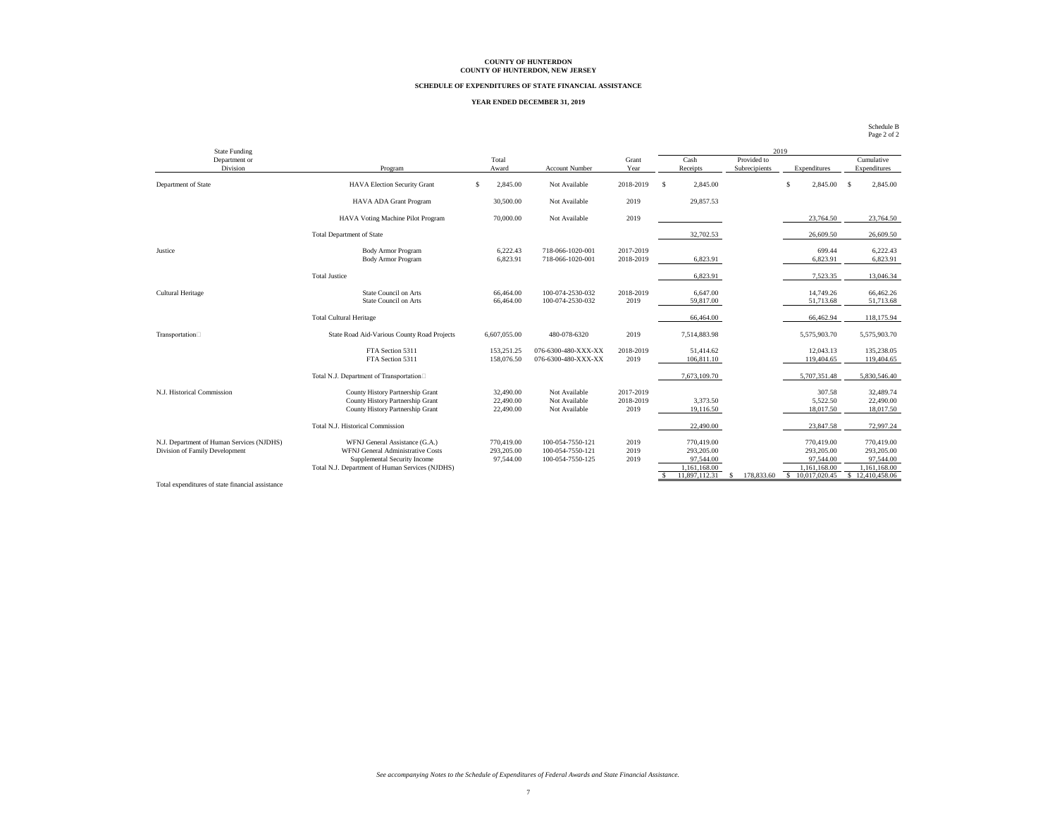#### **SCHEDULE OF EXPENDITURES OF STATE FINANCIAL ASSISTANCE**

#### **YEAR ENDED DECEMBER 31, 2019**

| <b>State Funding</b>                      |                                                        |                        |                                      |                        |                       | 2019                         |                        |                            |
|-------------------------------------------|--------------------------------------------------------|------------------------|--------------------------------------|------------------------|-----------------------|------------------------------|------------------------|----------------------------|
| Department or<br>Division                 | Program                                                | Total<br>Award         | Account Number                       | Grant<br>Year          | Cash<br>Receipts      | Provided to<br>Subrecipients | Expenditures           | Cumulative<br>Expenditures |
|                                           |                                                        |                        |                                      |                        |                       |                              |                        |                            |
| Department of State                       | <b>HAVA Election Security Grant</b>                    | 2,845.00<br>\$         | Not Available                        | 2018-2019              | 2,845.00<br>-S        |                              | \$.<br>2,845.00        | 2,845.00<br>- \$           |
|                                           | HAVA ADA Grant Program                                 | 30,500.00              | Not Available                        | 2019                   | 29,857.53             |                              |                        |                            |
|                                           | HAVA Voting Machine Pilot Program                      | 70,000,00              | Not Available                        | 2019                   |                       |                              | 23,764.50              | 23,764.50                  |
|                                           | <b>Total Department of State</b>                       |                        |                                      |                        | 32,702.53             |                              | 26,609.50              | 26,609.50                  |
| Justice                                   | <b>Body Armor Program</b><br><b>Body Armor Program</b> | 6,222.43<br>6,823.91   | 718-066-1020-001<br>718-066-1020-001 | 2017-2019<br>2018-2019 | 6,823.91              |                              | 699.44<br>6,823.91     | 6,222.43<br>6,823.91       |
|                                           |                                                        |                        |                                      |                        |                       |                              |                        |                            |
|                                           | <b>Total Justice</b>                                   |                        |                                      |                        | 6,823.91              |                              | 7,523.35               | 13,046.34                  |
| Cultural Heritage                         | State Council on Arts<br>State Council on Arts         | 66,464.00<br>66,464.00 | 100-074-2530-032<br>100-074-2530-032 | 2018-2019<br>2019      | 6,647.00<br>59,817.00 |                              | 14,749.26<br>51,713.68 | 66,462.26<br>51,713.68     |
|                                           |                                                        |                        |                                      |                        |                       |                              |                        |                            |
|                                           | <b>Total Cultural Heritage</b>                         |                        |                                      |                        | 66,464.00             |                              | 66,462.94              | 118,175.94                 |
| Transportation□                           | State Road Aid-Various County Road Projects            | 6,607,055.00           | 480-078-6320                         | 2019                   | 7,514,883.98          |                              | 5,575,903.70           | 5,575,903.70               |
|                                           | FTA Section 5311                                       | 153,251.25             | 076-6300-480-XXX-XX                  | 2018-2019              | 51.414.62             |                              | 12,043.13              | 135,238.05                 |
|                                           | FTA Section 5311                                       | 158,076.50             | 076-6300-480-XXX-XX                  | 2019                   | 106,811.10            |                              | 119,404.65             | 119,404.65                 |
|                                           | Total N.J. Department of Transportation                |                        |                                      |                        | 7,673,109.70          |                              | 5,707,351.48           | 5,830,546.40               |
| N.J. Historical Commission                | County History Partnership Grant                       | 32,490.00              | Not Available                        | 2017-2019              |                       |                              | 307.58                 | 32,489.74                  |
|                                           | County History Partnership Grant                       | 22,490.00              | Not Available                        | 2018-2019              | 3,373.50              |                              | 5,522.50               | 22,490.00                  |
|                                           | County History Partnership Grant                       | 22,490.00              | Not Available                        | 2019                   | 19,116.50             |                              | 18,017.50              | 18,017.50                  |
|                                           | Total N.J. Historical Commission                       |                        |                                      |                        | 22,490.00             |                              | 23,847.58              | 72,997.24                  |
| N.J. Department of Human Services (NJDHS) | WFNJ General Assistance (G.A.)                         | 770,419.00             | 100-054-7550-121                     | 2019                   | 770,419.00            |                              | 770,419.00             | 770,419.00                 |
| Division of Family Development            | WFNJ General Administrative Costs                      | 293,205.00             | 100-054-7550-121                     | 2019                   | 293,205,00            |                              | 293.205.00             | 293,205.00                 |
|                                           | Supplemental Security Income                           | 97,544.00              | 100-054-7550-125                     | 2019                   | 97,544.00             |                              | 97.544.00              | 97.544.00                  |
|                                           | Total N.J. Department of Human Services (NJDHS)        |                        |                                      |                        | 1,161,168.00          |                              | 1,161,168.00           | 1.161.168.00               |
|                                           |                                                        |                        |                                      |                        | 11.897.112.31         | 178,833.60<br>s              | \$10,017,020.45        | \$12,410,458.06            |

Total expenditures of state financial assistance

Schedule B Page 2 of 2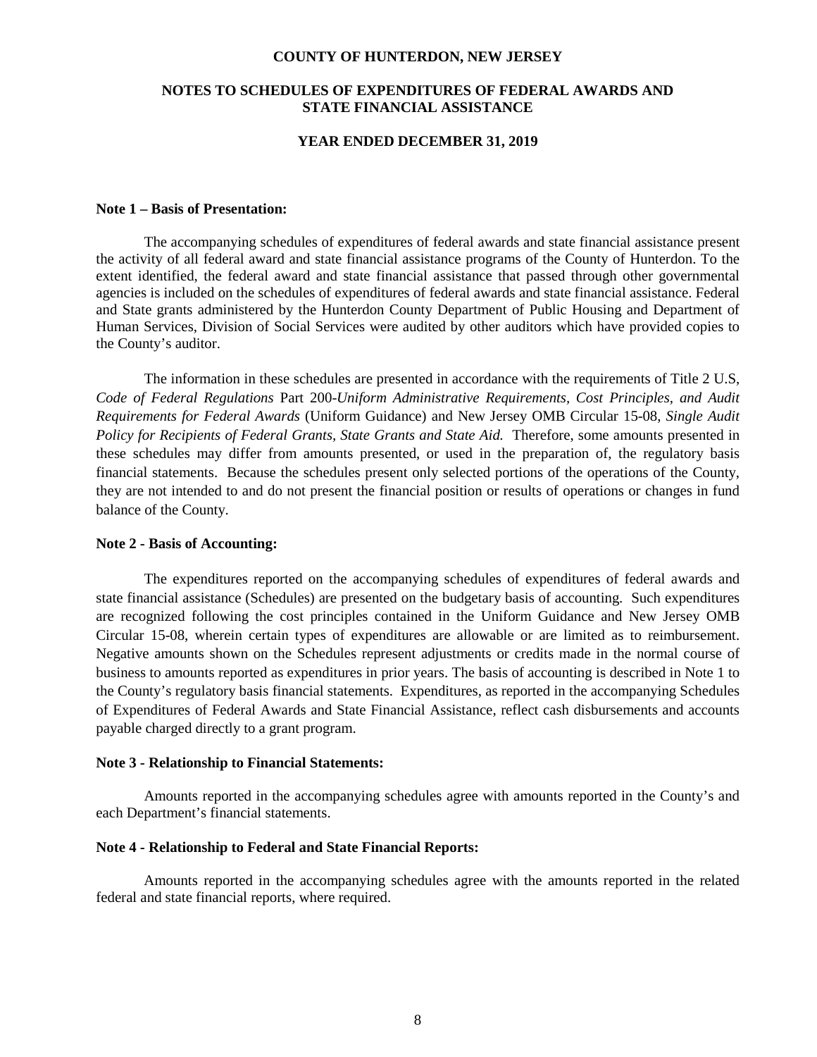#### **COUNTY OF HUNTERDON, NEW JERSEY**

### **NOTES TO SCHEDULES OF EXPENDITURES OF FEDERAL AWARDS AND STATE FINANCIAL ASSISTANCE**

### **YEAR ENDED DECEMBER 31, 2019**

### **Note 1 – Basis of Presentation:**

The accompanying schedules of expenditures of federal awards and state financial assistance present the activity of all federal award and state financial assistance programs of the County of Hunterdon. To the extent identified, the federal award and state financial assistance that passed through other governmental agencies is included on the schedules of expenditures of federal awards and state financial assistance. Federal and State grants administered by the Hunterdon County Department of Public Housing and Department of Human Services, Division of Social Services were audited by other auditors which have provided copies to the County's auditor.

The information in these schedules are presented in accordance with the requirements of Title 2 U.S, *Code of Federal Regulations* Part 200-*Uniform Administrative Requirements, Cost Principles, and Audit Requirements for Federal Awards* (Uniform Guidance) and New Jersey OMB Circular 15-08, *Single Audit Policy for Recipients of Federal Grants, State Grants and State Aid.* Therefore, some amounts presented in these schedules may differ from amounts presented, or used in the preparation of, the regulatory basis financial statements. Because the schedules present only selected portions of the operations of the County, they are not intended to and do not present the financial position or results of operations or changes in fund balance of the County.

### **Note 2 - Basis of Accounting:**

The expenditures reported on the accompanying schedules of expenditures of federal awards and state financial assistance (Schedules) are presented on the budgetary basis of accounting. Such expenditures are recognized following the cost principles contained in the Uniform Guidance and New Jersey OMB Circular 15-08, wherein certain types of expenditures are allowable or are limited as to reimbursement. Negative amounts shown on the Schedules represent adjustments or credits made in the normal course of business to amounts reported as expenditures in prior years. The basis of accounting is described in Note 1 to the County's regulatory basis financial statements. Expenditures, as reported in the accompanying Schedules of Expenditures of Federal Awards and State Financial Assistance, reflect cash disbursements and accounts payable charged directly to a grant program.

### **Note 3 - Relationship to Financial Statements:**

Amounts reported in the accompanying schedules agree with amounts reported in the County's and each Department's financial statements.

### **Note 4 - Relationship to Federal and State Financial Reports:**

Amounts reported in the accompanying schedules agree with the amounts reported in the related federal and state financial reports, where required.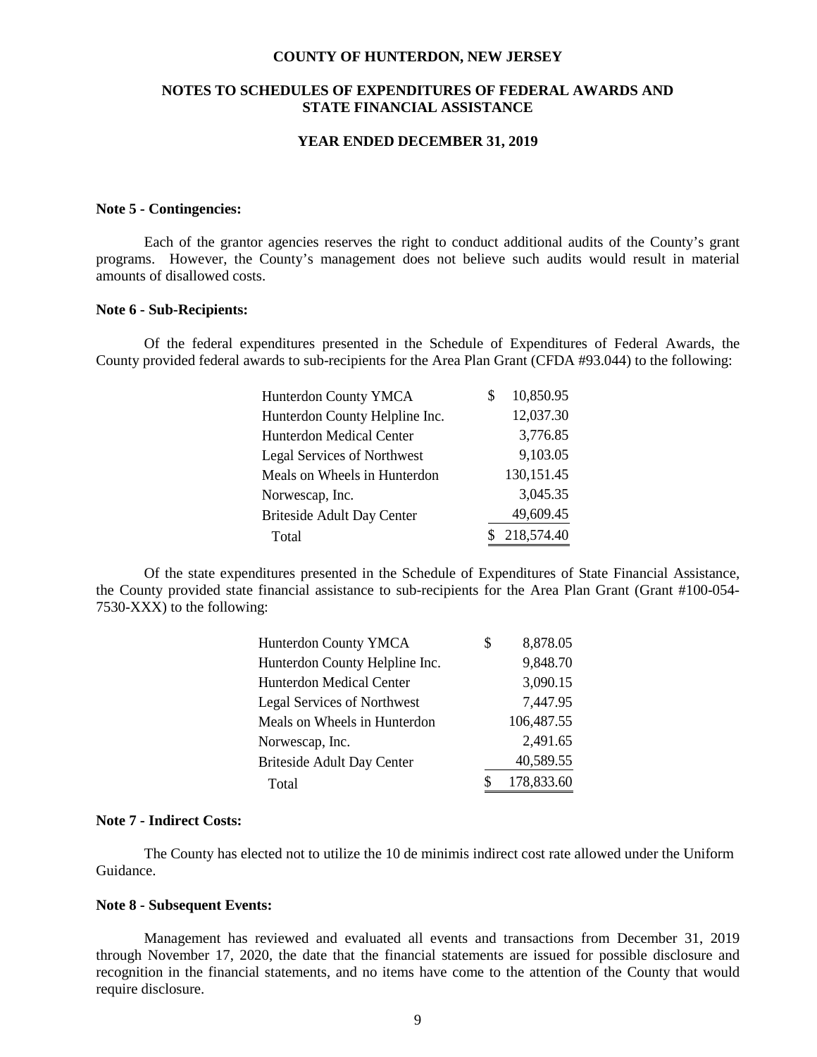#### **COUNTY OF HUNTERDON, NEW JERSEY**

### **NOTES TO SCHEDULES OF EXPENDITURES OF FEDERAL AWARDS AND STATE FINANCIAL ASSISTANCE**

#### **YEAR ENDED DECEMBER 31, 2019**

### **Note 5 - Contingencies:**

Each of the grantor agencies reserves the right to conduct additional audits of the County's grant programs. However, the County's management does not believe such audits would result in material amounts of disallowed costs.

#### **Note 6 - Sub-Recipients:**

Of the federal expenditures presented in the Schedule of Expenditures of Federal Awards, the County provided federal awards to sub-recipients for the Area Plan Grant (CFDA #93.044) to the following:

| Hunterdon County YMCA          | 10,850.95  |  |
|--------------------------------|------------|--|
| Hunterdon County Helpline Inc. | 12,037.30  |  |
| Hunterdon Medical Center       | 3,776.85   |  |
| Legal Services of Northwest    | 9,103.05   |  |
| Meals on Wheels in Hunterdon   | 130,151.45 |  |
| Norwescap, Inc.                | 3,045.35   |  |
| Briteside Adult Day Center     | 49,609.45  |  |
| Total                          | 218,574.40 |  |

Of the state expenditures presented in the Schedule of Expenditures of State Financial Assistance, the County provided state financial assistance to sub-recipients for the Area Plan Grant (Grant #100-054- 7530-XXX) to the following:

| Hunterdon County YMCA             | \$<br>8,878.05 |
|-----------------------------------|----------------|
| Hunterdon County Helpline Inc.    | 9,848.70       |
| Hunterdon Medical Center          | 3,090.15       |
| Legal Services of Northwest       | 7,447.95       |
| Meals on Wheels in Hunterdon      | 106,487.55     |
| Norwescap, Inc.                   | 2,491.65       |
| <b>Briteside Adult Day Center</b> | 40,589.55      |
| Total                             | 178,833.60     |

### **Note 7 - Indirect Costs:**

The County has elected not to utilize the 10 de minimis indirect cost rate allowed under the Uniform Guidance.

#### **Note 8 - Subsequent Events:**

Management has reviewed and evaluated all events and transactions from December 31, 2019 through November 17, 2020, the date that the financial statements are issued for possible disclosure and recognition in the financial statements, and no items have come to the attention of the County that would require disclosure.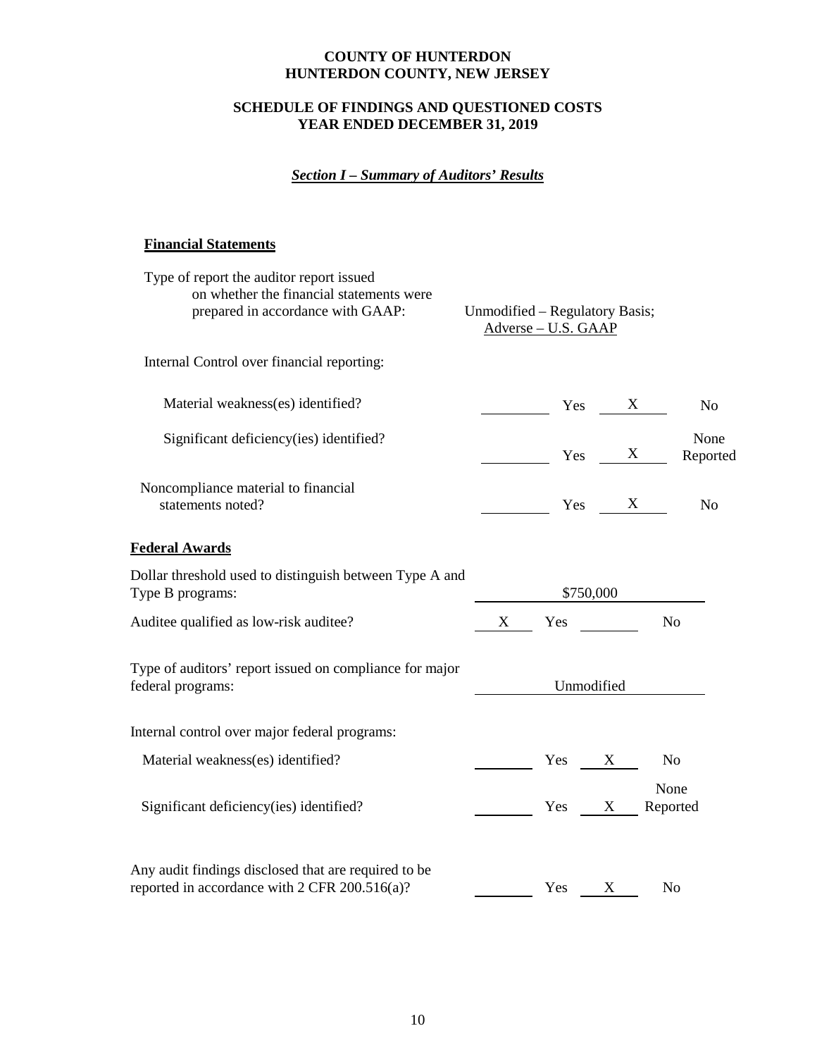## **SCHEDULE OF FINDINGS AND QUESTIONED COSTS YEAR ENDED DECEMBER 31, 2019**

# *Section I – Summary of Auditors' Results*

## **Financial Statements**

| Type of report the auditor report issued<br>on whether the financial statements were                  |                                |                   |            |                                             |
|-------------------------------------------------------------------------------------------------------|--------------------------------|-------------------|------------|---------------------------------------------|
| prepared in accordance with GAAP:                                                                     | Unmodified - Regulatory Basis; | Adverse-U.S. GAAP |            |                                             |
| Internal Control over financial reporting:                                                            |                                |                   |            |                                             |
| Material weakness(es) identified?                                                                     |                                | Yes               |            | X<br>N <sub>o</sub>                         |
| Significant deficiency(ies) identified?                                                               |                                | Yes               |            | None<br>X<br>Reported                       |
| Noncompliance material to financial<br>statements noted?                                              |                                | Yes               |            | $\boldsymbol{\mathrm{X}}$<br>N <sub>o</sub> |
| <b>Federal Awards</b>                                                                                 |                                |                   |            |                                             |
| Dollar threshold used to distinguish between Type A and<br>Type B programs:                           |                                |                   | \$750,000  |                                             |
| Auditee qualified as low-risk auditee?                                                                | X                              | Yes               |            | N <sub>o</sub>                              |
| Type of auditors' report issued on compliance for major<br>federal programs:                          |                                |                   | Unmodified |                                             |
| Internal control over major federal programs:                                                         |                                |                   |            |                                             |
| Material weakness(es) identified?                                                                     |                                | Yes X             |            | N <sub>0</sub>                              |
| Significant deficiency(ies) identified?                                                               |                                | Yes X             |            | None<br>Reported                            |
| Any audit findings disclosed that are required to be<br>reported in accordance with 2 CFR 200.516(a)? |                                | Yes               | X          | N <sub>o</sub>                              |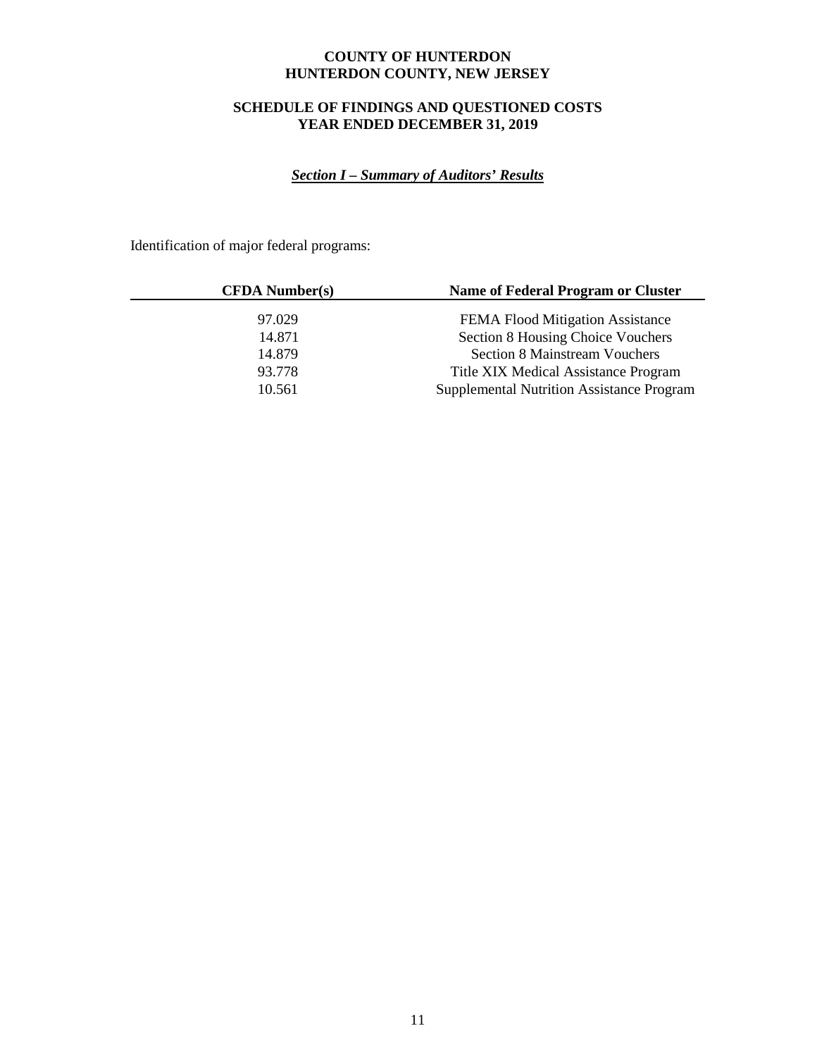# **SCHEDULE OF FINDINGS AND QUESTIONED COSTS YEAR ENDED DECEMBER 31, 2019**

# *Section I – Summary of Auditors' Results*

Identification of major federal programs:

| <b>CFDA</b> Number(s) | Name of Federal Program or Cluster        |
|-----------------------|-------------------------------------------|
| 97.029                | FEMA Flood Mitigation Assistance          |
| 14.871                | Section 8 Housing Choice Vouchers         |
| 14.879                | <b>Section 8 Mainstream Vouchers</b>      |
| 93.778                | Title XIX Medical Assistance Program      |
| 10.561                | Supplemental Nutrition Assistance Program |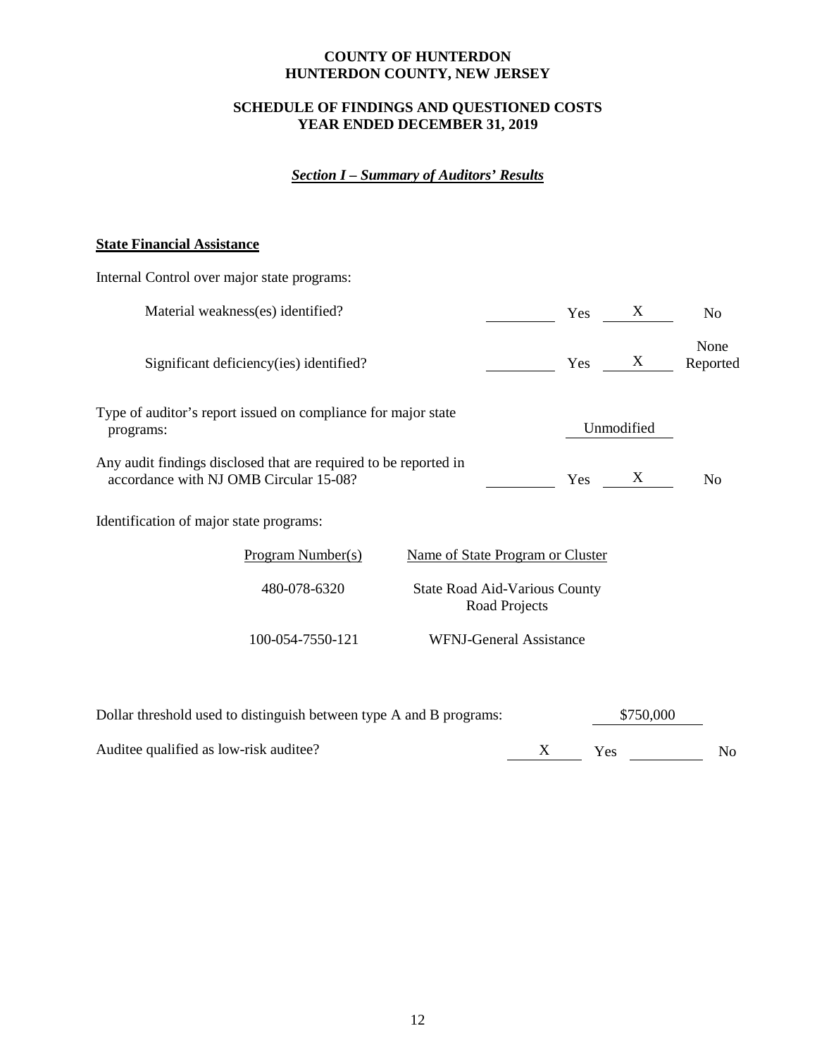## **SCHEDULE OF FINDINGS AND QUESTIONED COSTS YEAR ENDED DECEMBER 31, 2019**

# *Section I – Summary of Auditors' Results*

## **State Financial Assistance**

| Internal Control over major state programs:                                                                |                                                       |  |     |            |                  |  |  |
|------------------------------------------------------------------------------------------------------------|-------------------------------------------------------|--|-----|------------|------------------|--|--|
| Material weakness(es) identified?                                                                          |                                                       |  | Yes | X          | No               |  |  |
| Significant deficiency (ies) identified?                                                                   |                                                       |  | Yes | X          | None<br>Reported |  |  |
| Type of auditor's report issued on compliance for major state<br>programs:                                 |                                                       |  |     | Unmodified |                  |  |  |
| Any audit findings disclosed that are required to be reported in<br>accordance with NJ OMB Circular 15-08? |                                                       |  | Yes | X          | N <sub>0</sub>   |  |  |
| Identification of major state programs:                                                                    |                                                       |  |     |            |                  |  |  |
| Program Number(s)<br>Name of State Program or Cluster                                                      |                                                       |  |     |            |                  |  |  |
| 480-078-6320                                                                                               | <b>State Road Aid-Various County</b><br>Road Projects |  |     |            |                  |  |  |
| 100-054-7550-121                                                                                           | <b>WFNJ-General Assistance</b>                        |  |     |            |                  |  |  |
|                                                                                                            |                                                       |  |     |            |                  |  |  |

| Dollar threshold used to distinguish between type A and B programs: | \$750,000 |     |    |
|---------------------------------------------------------------------|-----------|-----|----|
| Auditee qualified as low-risk auditee?                              |           | Yes | Nο |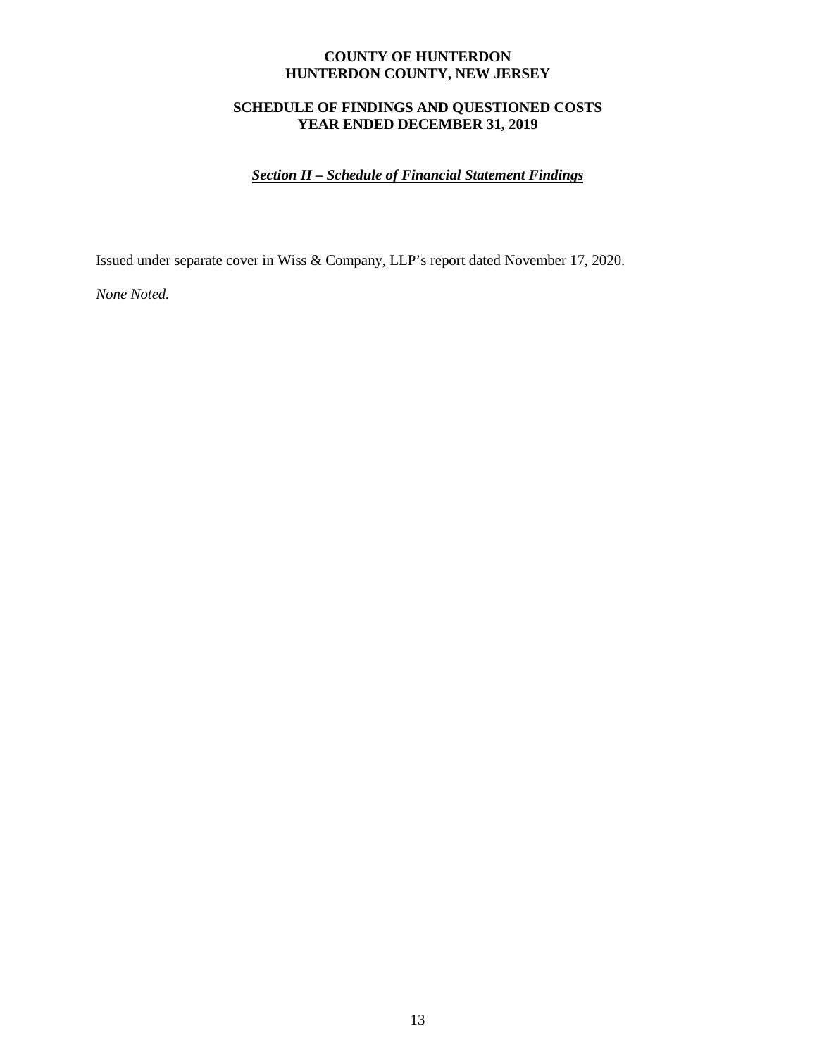## **SCHEDULE OF FINDINGS AND QUESTIONED COSTS YEAR ENDED DECEMBER 31, 2019**

# *Section II – Schedule of Financial Statement Findings*

Issued under separate cover in Wiss & Company, LLP's report dated November 17, 2020.

*None Noted.*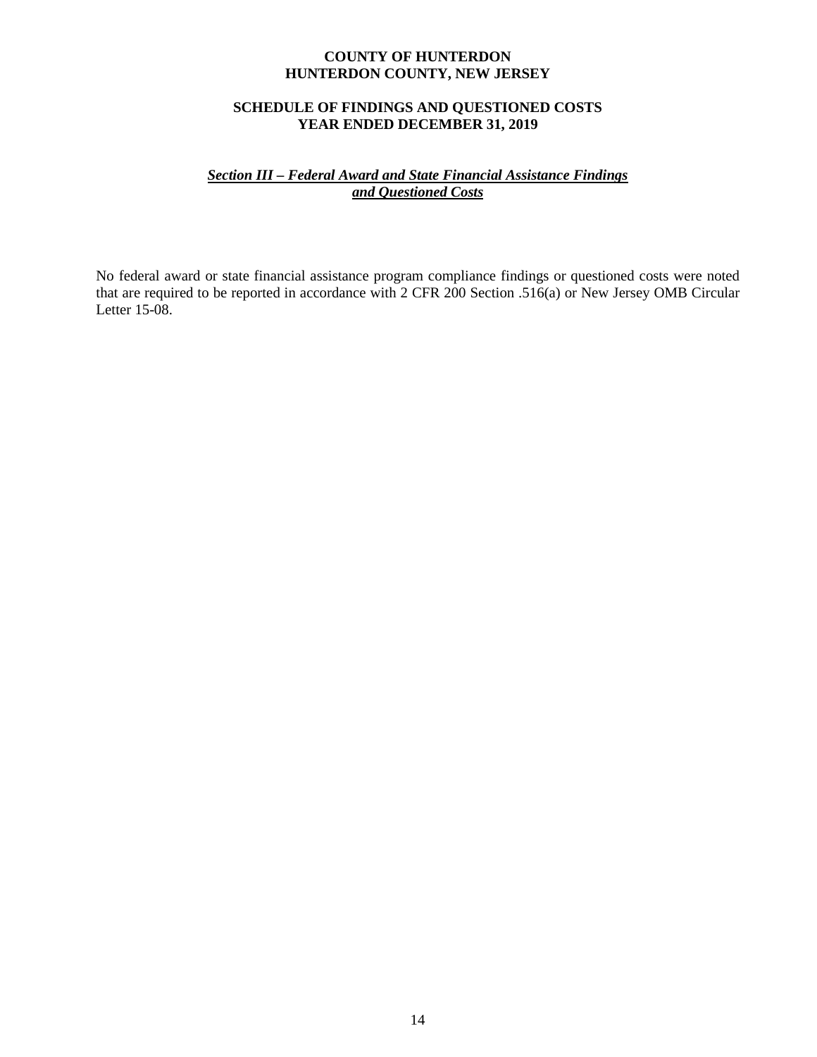## **SCHEDULE OF FINDINGS AND QUESTIONED COSTS YEAR ENDED DECEMBER 31, 2019**

## *Section III – Federal Award and State Financial Assistance Findings and Questioned Costs*

No federal award or state financial assistance program compliance findings or questioned costs were noted that are required to be reported in accordance with 2 CFR 200 Section .516(a) or New Jersey OMB Circular Letter 15-08.